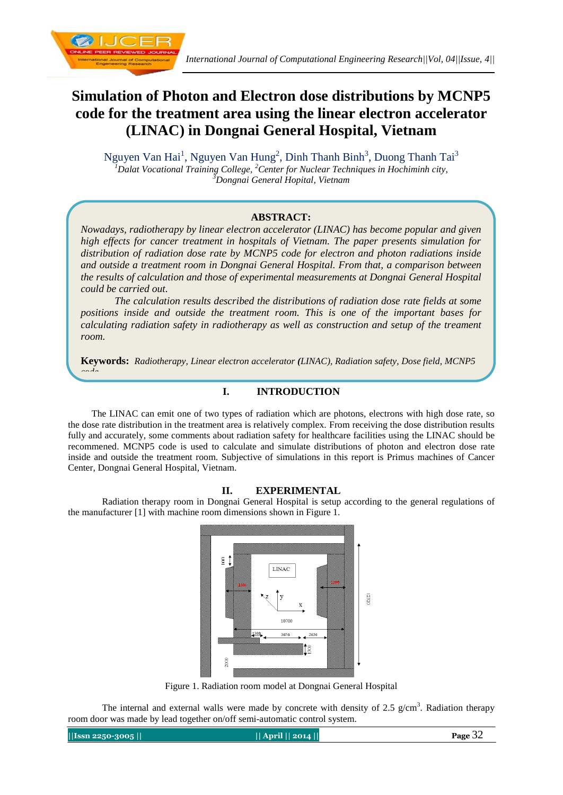

# **Simulation of Photon and Electron dose distributions by MCNP5 code for the treatment area using the linear electron accelerator (LINAC) in Dongnai General Hospital, Vietnam**

Nguyen Van Hai<sup>1</sup>, Nguyen Van Hung<sup>2</sup>, Dinh Thanh Binh<sup>3</sup>, Duong Thanh Tai<sup>3</sup> *<sup>1</sup>Dalat Vocational Training College, <sup>2</sup>Center for Nuclear Techniques in Hochiminh city, <sup>3</sup>Dongnai General Hopital, Vietnam*

## **ABSTRACT:**

*Nowadays, radiotherapy by linear electron accelerator (LINAC) has become popular and given high effects for cancer treatment in hospitals of Vietnam. The paper presents simulation for distribution of radiation dose rate by MCNP5 code for electron and photon radiations inside and outside a treatment room in Dongnai General Hospital. From that, a comparison between the results of calculation and those of experimental measurements at Dongnai General Hospital could be carried out.*

*The calculation results described the distributions of radiation dose rate fields at some positions inside and outside the treatment room. This is one of the important bases for calculating radiation safety in radiotherapy as well as construction and setup of the treament room.*

**Keywords:** *Radiotherapy, Linear electron accelerator (LINAC), Radiation safety, Dose field, MCNP5* 

## **I. INTRODUCTION**

 The LINAC can emit one of two types of radiation which are photons, electrons with high dose rate, so the dose rate distribution in the treatment area is relatively complex. From receiving the dose distribution results fully and accurately, some comments about radiation safety for healthcare facilities using the LINAC should be recommened. MCNP5 code is used to calculate and simulate distributions of photon and electron dose rate inside and outside the treatment room. Subjective of simulations in this report is Primus machines of Cancer Center, Dongnai General Hospital, Vietnam.

## **II. EXPERIMENTAL**

Radiation therapy room in Dongnai General Hospital is setup according to the general regulations of the manufacturer [1] with machine room dimensions shown in Figure 1.



Figure 1. Radiation room model at Dongnai General Hospital

The internal and external walls were made by concrete with density of 2.5  $g/cm<sup>3</sup>$ . Radiation therapy room door was made by lead together on/off semi-automatic control system.

**||Issn 2250-3005 || || April || 2014 || Page** 32

*code*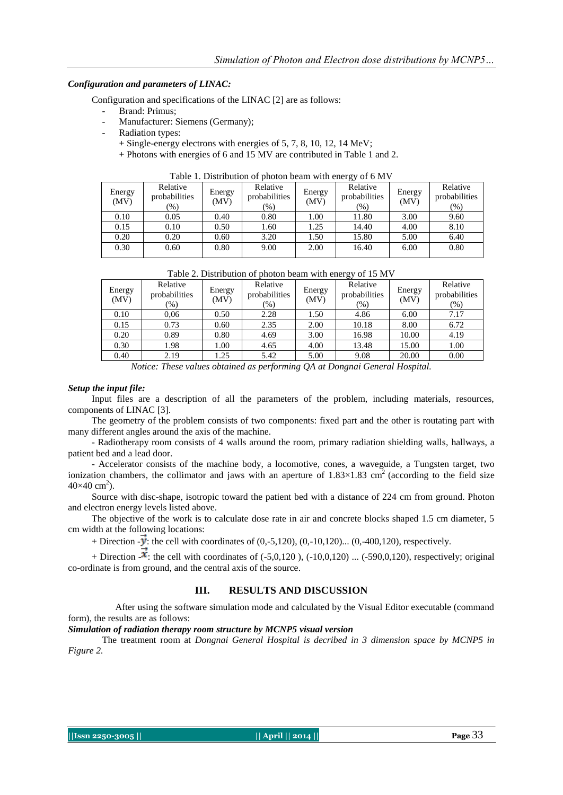#### *Configuration and parameters of LINAC:*

Configuration and specifications of the LINAC [2] are as follows:

- Brand: Primus:
- Manufacturer: Siemens (Germany);
- Radiation types:
	- + Single-energy electrons with energies of 5, 7, 8, 10, 12, 14 MeV;
	- + Photons with energies of 6 and 15 MV are contributed in Table 1 and 2.

| Energy<br>(MV) | Relative<br>probabilities<br>$(\%)$ | Energy<br>(MV) | Relative<br>probabilities<br>(%) | Energy<br>(MV) | ັ<br>Relative<br>probabilities<br>$(\%)$ | Energy<br>(MV) | Relative<br>probabilities<br>$(\%)$ |
|----------------|-------------------------------------|----------------|----------------------------------|----------------|------------------------------------------|----------------|-------------------------------------|
| 0.10           | 0.05                                | 0.40           | 0.80                             | 1.00           | 11.80                                    | 3.00           | 9.60                                |
| 0.15           | 0.10                                | 0.50           | 1.60                             | 1.25           | 14.40                                    | 4.00           | 8.10                                |
| 0.20           | 0.20                                | 0.60           | 3.20                             | 1.50           | 15.80                                    | 5.00           | 6.40                                |
| 0.30           | 0.60                                | 0.80           | 9.00                             | 2.00           | 16.40                                    | 6.00           | 0.80                                |

Table 1. Distribution of photon beam with energy of 6 MV

| Table 2. Distribution of photon beam with energy of 15 MV |                                                                        |      |                           |                |                                            |                |                                   |  |  |
|-----------------------------------------------------------|------------------------------------------------------------------------|------|---------------------------|----------------|--------------------------------------------|----------------|-----------------------------------|--|--|
| Energy<br>(MV)                                            | Relative<br>Energy<br>probabilities<br>(MV)<br>$\frac{9}{6}$<br>$(\%)$ |      | Relative<br>probabilities | Energy<br>(MV) | Relative<br>probabilities<br>$\frac{9}{6}$ | Energy<br>(MV) | Relative<br>probabilities<br>(96) |  |  |
| 0.10                                                      | 0.06                                                                   | 0.50 | 2.28                      | 1.50           | 4.86                                       | 6.00           | 7.17                              |  |  |
| 0.15                                                      | 0.73                                                                   | 0.60 | 2.35                      | 2.00           | 10.18                                      | 8.00           | 6.72                              |  |  |

0.20 0.89 0.80 4.69 3.00 16.98 10.00 4.19 0.30 | 1.98 | 1.00 | 4.65 | 4.00 | 13.48 | 15.00 | 1.00

0.40 | 2.19 | 1.25 | 5.42 | 5.00 | 9.08 | 20.00 | 0.00 *Notice: These values obtained as performing QA at Dongnai General Hospital.*

#### *Setup the input file:*

 Input files are a description of all the parameters of the problem, including materials, resources, components of LINAC [3].

 The geometry of the problem consists of two components: fixed part and the other is routating part with many different angles around the axis of the machine.

 - Radiotherapy room consists of 4 walls around the room, primary radiation shielding walls, hallways, a patient bed and a lead door.

 - Accelerator consists of the machine body, a locomotive, cones, a waveguide, a Tungsten target, two ionization chambers, the collimator and jaws with an aperture of  $1.83\times1.83$  cm<sup>2</sup> (according to the field size  $40\times 40$  cm<sup>2</sup>).

 Source with disc-shape, isotropic toward the patient bed with a distance of 224 cm from ground. Photon and electron energy levels listed above.

 The objective of the work is to calculate dose rate in air and concrete blocks shaped 1.5 cm diameter, 5 cm width at the following locations:

+ Direction  $-\vec{y}$ : the cell with coordinates of (0,-5,120), (0,-10,120)... (0,-400,120), respectively.

+ Direction  $-\hat{\mathbf{x}}$ : the cell with coordinates of (-5,0,120), (-10,0,120) ... (-590,0,120), respectively; original co-ordinate is from ground, and the central axis of the source.

#### **III. RESULTS AND DISCUSSION**

 After using the software simulation mode and calculated by the Visual Editor executable (command form), the results are as follows:

## *Simulation of radiation therapy room structure by MCNP5 visual version*

The treatment room at *Dongnai General Hospital is decribed in 3 dimension space by MCNP5 in Figure 2.*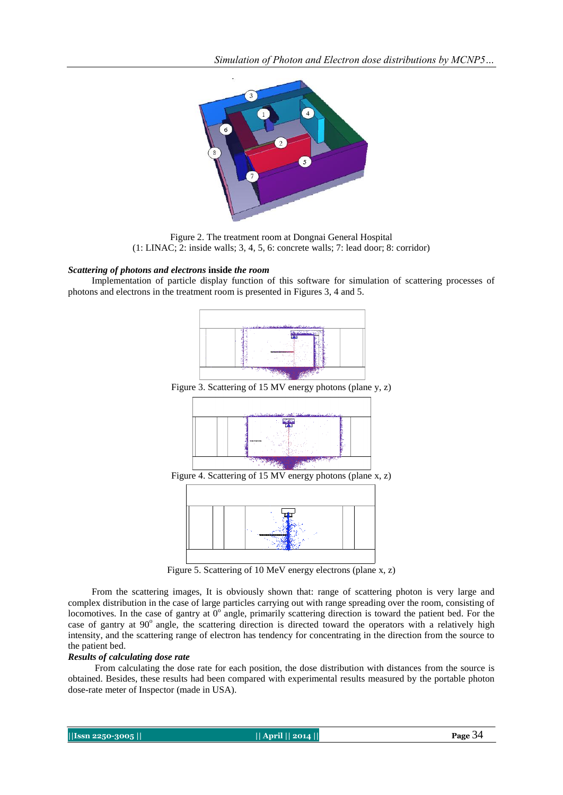*Simulation of Photon and Electron dose distributions by MCNP5…*



Figure 2. The treatment room at Dongnai General Hospital (1: LINAC; 2: inside walls; 3, 4, 5, 6: concrete walls; 7: lead door; 8: corridor)

#### *Scattering of photons and electrons* **inside** *the room*

 Implementation of particle display function of this software for simulation of scattering processes of photons and electrons in the treatment room is presented in Figures 3, 4 and 5.



Figure 3. Scattering of 15 MV energy photons (plane y, z)



Figure 4. Scattering of 15 MV energy photons (plane x, z)



Figure 5. Scattering of 10 MeV energy electrons (plane x, z)

 From the scattering images, It is obviously shown that: range of scattering photon is very large and complex distribution in the case of large particles carrying out with range spreading over the room, consisting of locomotives. In the case of gantry at  $0^{\circ}$  angle, primarily scattering direction is toward the patient bed. For the case of gantry at 90° angle, the scattering direction is directed toward the operators with a relatively high intensity, and the scattering range of electron has tendency for concentrating in the direction from the source to the patient bed.

#### *Results of calculating dose rate*

From calculating the dose rate for each position, the dose distribution with distances from the source is obtained. Besides, these results had been compared with experimental results measured by the portable photon dose-rate meter of Inspector (made in USA).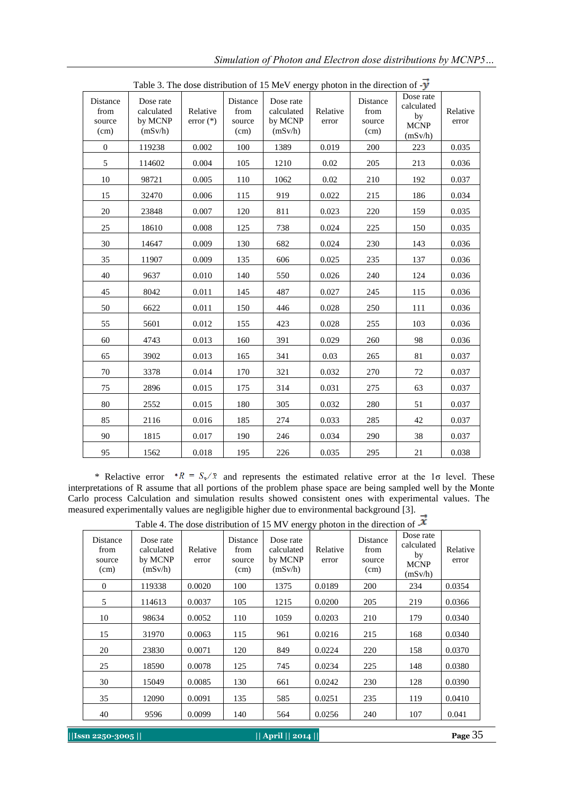| Distance<br>from<br>source<br>(cm) | Dose rate<br>calculated<br>by MCNP<br>(mSv/h) | Relative<br>$error (*)$ | Distance<br>from<br>source<br>(cm) | Dose rate<br>calculated<br>by MCNP<br>(mSv/h) | Relative<br>error | Distance<br>from<br>source<br>(cm) | Dose rate<br>calculated<br>by<br><b>MCNP</b><br>(mSv/h) | Relative<br>error |
|------------------------------------|-----------------------------------------------|-------------------------|------------------------------------|-----------------------------------------------|-------------------|------------------------------------|---------------------------------------------------------|-------------------|
| $\boldsymbol{0}$                   | 119238                                        | 0.002                   | 100                                | 1389                                          | 0.019             | 200                                | 223                                                     | 0.035             |
| 5                                  | 114602                                        | 0.004                   | 105                                | 1210                                          | 0.02              | 205                                | 213                                                     | 0.036             |
| 10                                 | 98721                                         | 0.005                   | 110                                | 1062                                          | 0.02              | 210                                | 192                                                     | 0.037             |
| 15                                 | 32470                                         | 0.006                   | 115                                | 919                                           | 0.022             | 215                                | 186                                                     | 0.034             |
| 20                                 | 23848                                         | 0.007                   | 120                                | 811                                           | 0.023             | 220                                | 159                                                     | 0.035             |
| 25                                 | 18610                                         | 0.008                   | 125                                | 738                                           | 0.024             | 225                                | 150                                                     | 0.035             |
| 30                                 | 14647                                         | 0.009                   | 130                                | 682                                           | 0.024             | 230                                | 143                                                     | 0.036             |
| 35                                 | 11907                                         | 0.009                   | 135                                | 606                                           | 0.025             | 235                                | 137                                                     | 0.036             |
| 40                                 | 9637                                          | 0.010                   | 140                                | 550                                           | 0.026             | 240                                | 124                                                     | 0.036             |
| 45                                 | 8042                                          | 0.011                   | 145                                | 487                                           | 0.027             | 245                                | 115                                                     | 0.036             |
| 50                                 | 6622                                          | 0.011                   | 150                                | 446                                           | 0.028             | 250                                | 111                                                     | 0.036             |
| 55                                 | 5601                                          | 0.012                   | 155                                | 423                                           | 0.028             | 255                                | 103                                                     | 0.036             |
| 60                                 | 4743                                          | 0.013                   | 160                                | 391                                           | 0.029             | 260                                | 98                                                      | 0.036             |
| 65                                 | 3902                                          | 0.013                   | 165                                | 341                                           | 0.03              | 265                                | 81                                                      | 0.037             |
| 70                                 | 3378                                          | 0.014                   | 170                                | 321                                           | 0.032             | 270                                | 72                                                      | 0.037             |
| 75                                 | 2896                                          | 0.015                   | 175                                | 314                                           | 0.031             | 275                                | 63                                                      | 0.037             |
| 80                                 | 2552                                          | 0.015                   | 180                                | 305                                           | 0.032             | 280                                | 51                                                      | 0.037             |
| 85                                 | 2116                                          | 0.016                   | 185                                | 274                                           | 0.033             | 285                                | 42                                                      | 0.037             |
| 90                                 | 1815                                          | 0.017                   | 190                                | 246                                           | 0.034             | 290                                | 38                                                      | 0.037             |
| 95                                 | 1562                                          | 0.018                   | 195                                | 226                                           | 0.035             | 295                                | 21                                                      | 0.038             |

Table 3. The dose distribution of 15 MeV energy photon in the direction of  $-\vec{y}$ 

\* Relactive error  $*R = S_z/\bar{x}$  and represents the estimated relative error at the 1 $\sigma$  level. These interpretations of R assume that all portions of the problem phase space are being sampled well by the Monte Carlo process Calculation and simulation results showed consistent ones with experimental values. The measured experimentally values are negligible higher due to environmental background [3].

Table 4. The dose distribution of 15 MV energy photon in the direction of -

|                                    |                                               |                   |                                    |                                               | ັ້                |                                    |                                                         |                   |
|------------------------------------|-----------------------------------------------|-------------------|------------------------------------|-----------------------------------------------|-------------------|------------------------------------|---------------------------------------------------------|-------------------|
| Distance<br>from<br>source<br>(cm) | Dose rate<br>calculated<br>by MCNP<br>(mSv/h) | Relative<br>error | Distance<br>from<br>source<br>(cm) | Dose rate<br>calculated<br>by MCNP<br>(mSv/h) | Relative<br>error | Distance<br>from<br>source<br>(cm) | Dose rate<br>calculated<br>by<br><b>MCNP</b><br>(mSv/h) | Relative<br>error |
| $\mathbf{0}$                       | 119338                                        | 0.0020            | 100                                | 1375                                          | 0.0189            | 200                                | 234                                                     | 0.0354            |
| 5                                  | 114613                                        | 0.0037            | 105                                | 1215                                          | 0.0200            | 205                                | 219                                                     | 0.0366            |
| 10                                 | 98634                                         | 0.0052            | 110                                | 1059                                          | 0.0203            | 210                                | 179                                                     | 0.0340            |
| 15                                 | 31970                                         | 0.0063            | 115                                | 961                                           | 0.0216            | 215                                | 168                                                     | 0.0340            |
| 20                                 | 23830                                         | 0.0071            | 120                                | 849                                           | 0.0224            | 220                                | 158                                                     | 0.0370            |
| 25                                 | 18590                                         | 0.0078            | 125                                | 745                                           | 0.0234            | 225                                | 148                                                     | 0.0380            |
| 30                                 | 15049                                         | 0.0085            | 130                                | 661                                           | 0.0242            | 230                                | 128                                                     | 0.0390            |
| 35                                 | 12090                                         | 0.0091            | 135                                | 585                                           | 0.0251            | 235                                | 119                                                     | 0.0410            |
| 40                                 | 9596                                          | 0.0099            | 140                                | 564                                           | 0.0256            | 240                                | 107                                                     | 0.041             |
|                                    |                                               |                   |                                    |                                               |                   |                                    |                                                         |                   |

**||Issn 2250-3005 || || April || 2014 || Page** 35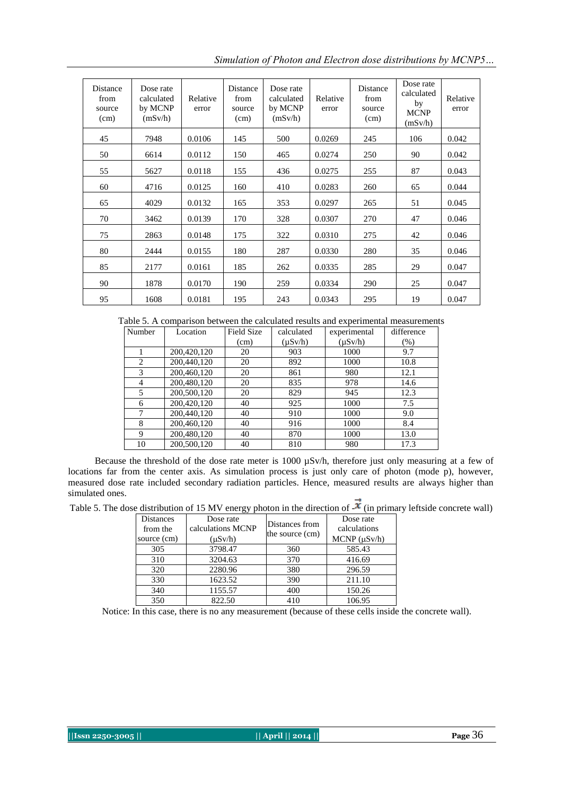*Simulation of Photon and Electron dose distributions by MCNP5…*

| Distance<br>from<br>source<br>(cm) | Dose rate<br>calculated<br>by MCNP<br>(mSv/h) | Relative<br>error | Distance<br>from<br>source<br>(cm) | Dose rate<br>calculated<br>by MCNP<br>(mSv/h) | Relative<br>error | Distance<br>from<br>source<br>(cm) | Dose rate<br>calculated<br>by<br><b>MCNP</b><br>(mSv/h) | Relative<br>error |
|------------------------------------|-----------------------------------------------|-------------------|------------------------------------|-----------------------------------------------|-------------------|------------------------------------|---------------------------------------------------------|-------------------|
| 45                                 | 7948                                          | 0.0106            | 145                                | 500                                           | 0.0269            | 245                                | 106                                                     | 0.042             |
| 50                                 | 6614                                          | 0.0112            | 150                                | 465                                           | 0.0274            | 250                                | 90                                                      | 0.042             |
| 55                                 | 5627                                          | 0.0118            | 155                                | 436                                           | 0.0275            | 255                                | 87                                                      | 0.043             |
| 60                                 | 4716                                          | 0.0125            | 160                                | 410                                           | 0.0283            | 260                                | 65                                                      | 0.044             |
| 65                                 | 4029                                          | 0.0132            | 165                                | 353                                           | 0.0297            | 265                                | 51                                                      | 0.045             |
| 70                                 | 3462                                          | 0.0139            | 170                                | 328                                           | 0.0307            | 270                                | 47                                                      | 0.046             |
| 75                                 | 2863                                          | 0.0148            | 175                                | 322                                           | 0.0310            | 275                                | 42                                                      | 0.046             |
| 80                                 | 2444                                          | 0.0155            | 180                                | 287                                           | 0.0330            | 280                                | 35                                                      | 0.046             |
| 85                                 | 2177                                          | 0.0161            | 185                                | 262                                           | 0.0335            | 285                                | 29                                                      | 0.047             |
| 90                                 | 1878                                          | 0.0170            | 190                                | 259                                           | 0.0334            | 290                                | 25                                                      | 0.047             |
| 95                                 | 1608                                          | 0.0181            | 195                                | 243                                           | 0.0343            | 295                                | 19                                                      | 0.047             |

Table 5. A comparison between the calculated results and experimental measurements

| Number         | Location    | Field Size | calculated   | experimental | difference |
|----------------|-------------|------------|--------------|--------------|------------|
|                |             | (cm)       | $(\mu Sv/h)$ | $(\mu Sv/h)$ | $(\% )$    |
|                | 200,420,120 | 20         | 903          | 1000         | 9.7        |
| $\overline{c}$ | 200,440,120 | 20         | 892          | 1000         | 10.8       |
| 3              | 200,460,120 | 20         | 861          | 980          | 12.1       |
| 4              | 200,480,120 | 20         | 835          | 978          | 14.6       |
| 5              | 200,500,120 | 20         | 829          | 945          | 12.3       |
| 6              | 200,420,120 | 40         | 925          | 1000         | 7.5        |
| 7              | 200,440,120 | 40         | 910          | 1000         | 9.0        |
| 8              | 200,460,120 | 40         | 916          | 1000         | 8.4        |
| 9              | 200,480,120 | 40         | 870          | 1000         | 13.0       |
| 10             | 200,500,120 | 40         | 810          | 980          | 17.3       |

Because the threshold of the dose rate meter is 1000  $\mu$ Sv/h, therefore just only measuring at a few of locations far from the center axis. As simulation process is just only care of photon (mode p), however, measured dose rate included secondary radiation particles. Hence, measured results are always higher than simulated ones.

| Table 5. The dose distribution of 15 MV energy photon in the direction of $\mathcal{K}$ (in primary leftside concrete wall) |  |  |
|-----------------------------------------------------------------------------------------------------------------------------|--|--|
|-----------------------------------------------------------------------------------------------------------------------------|--|--|

| <b>Distances</b><br>from the<br>source (cm) | Dose rate<br>calculations MCNP<br>$(\mu Sv/h)$ | Distances from<br>the source (cm) | Dose rate<br>calculations<br>$MCNP (\mu Sv/h)$ |
|---------------------------------------------|------------------------------------------------|-----------------------------------|------------------------------------------------|
| 305                                         | 3798.47                                        | 360                               | 585.43                                         |
| 310                                         | 3204.63                                        | 370                               | 416.69                                         |
| 320                                         | 2280.96                                        | 380                               | 296.59                                         |
| 330                                         | 1623.52                                        | 390                               | 211.10                                         |
| 340                                         | 1155.57                                        | 400                               | 150.26                                         |
| 350                                         | 822.50                                         | 410                               | 106.95                                         |

Notice: In this case, there is no any measurement (because of these cells inside the concrete wall).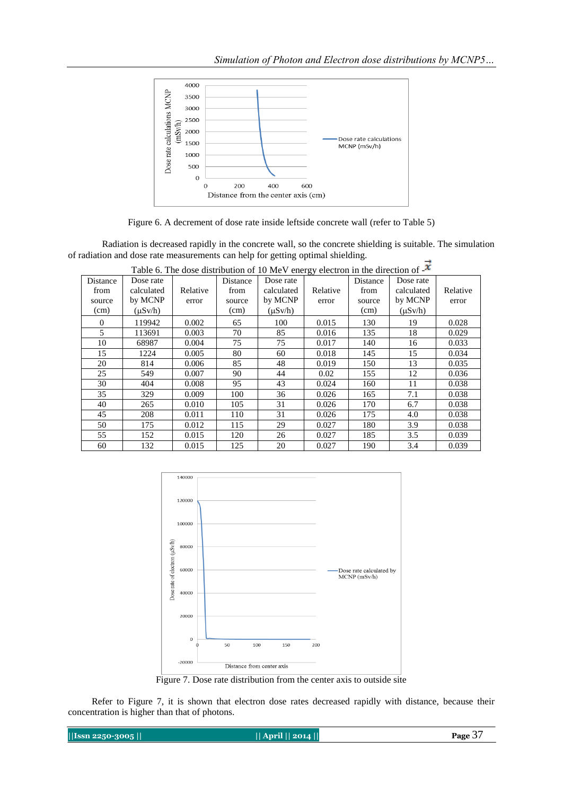

Figure 6. A decrement of dose rate inside leftside concrete wall (refer to Table 5)

Radiation is decreased rapidly in the concrete wall, so the concrete shielding is suitable. The simulation of radiation and dose rate measurements can help for getting optimal shielding.

| Table 6. The dose distribution of 10 MeV energy electron in the direction of $-\infty$ |              |          |          |              |          |          |              |          |
|----------------------------------------------------------------------------------------|--------------|----------|----------|--------------|----------|----------|--------------|----------|
| Distance                                                                               | Dose rate    |          | Distance | Dose rate    |          | Distance | Dose rate    |          |
| from                                                                                   | calculated   | Relative | from     | calculated   | Relative | from     | calculated   | Relative |
| source                                                                                 | by MCNP      | error    | source   | by MCNP      | error    | source   | by MCNP      | error    |
| (cm)                                                                                   | $(\mu Sv/h)$ |          | (cm)     | $(\mu Sv/h)$ |          | (cm)     | $(\mu Sv/h)$ |          |
| $\Omega$                                                                               | 119942       | 0.002    | 65       | 100          | 0.015    | 130      | 19           | 0.028    |
| 5                                                                                      | 113691       | 0.003    | 70       | 85           | 0.016    | 135      | 18           | 0.029    |
| 10                                                                                     | 68987        | 0.004    | 75       | 75           | 0.017    | 140      | 16           | 0.033    |
| 15                                                                                     | 1224         | 0.005    | 80       | 60           | 0.018    | 145      | 15           | 0.034    |
| 20                                                                                     | 814          | 0.006    | 85       | 48           | 0.019    | 150      | 13           | 0.035    |
| 25                                                                                     | 549          | 0.007    | 90       | 44           | 0.02     | 155      | 12           | 0.036    |
| 30                                                                                     | 404          | 0.008    | 95       | 43           | 0.024    | 160      | 11           | 0.038    |
| 35                                                                                     | 329          | 0.009    | 100      | 36           | 0.026    | 165      | 7.1          | 0.038    |
| 40                                                                                     | 265          | 0.010    | 105      | 31           | 0.026    | 170      | 6.7          | 0.038    |
| 45                                                                                     | 208          | 0.011    | 110      | 31           | 0.026    | 175      | 4.0          | 0.038    |
| 50                                                                                     | 175          | 0.012    | 115      | 29           | 0.027    | 180      | 3.9          | 0.038    |
| 55                                                                                     | 152          | 0.015    | 120      | 26           | 0.027    | 185      | 3.5          | 0.039    |
| 60                                                                                     | 132          | 0.015    | 125      | 20           | 0.027    | 190      | 3.4          | 0.039    |



Figure 7. Dose rate distribution from the center axis to outside site

 Refer to Figure 7, it is shown that electron dose rates decreased rapidly with distance, because their concentration is higher than that of photons.